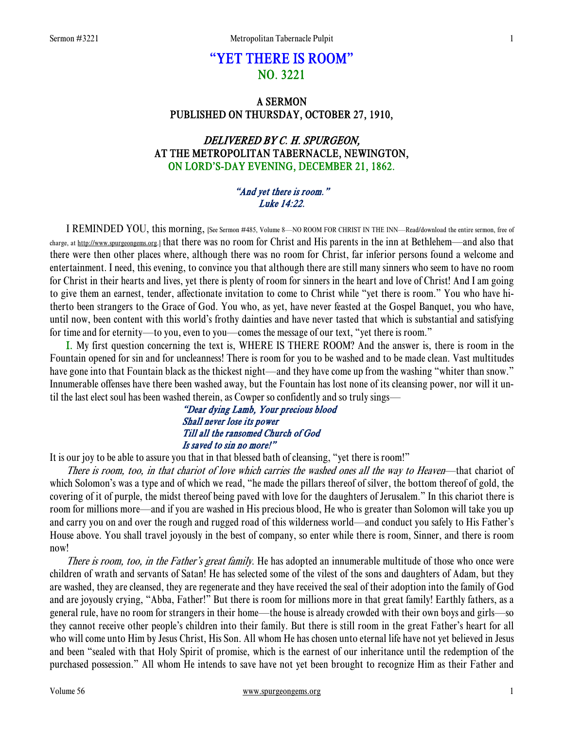# "YET THERE IS ROOM" NO. 3221

## A SERMON PUBLISHED ON THURSDAY, OCTOBER 27, 1910,

# DELIVERED BY C. H. SPURGEON, AT THE METROPOLITAN TABERNACLE, NEWINGTON, ON LORD'S-DAY EVENING, DECEMBER 21, 1862.

#### "And yet there is room." Luke 14:22.

 I REMINDED YOU, this morning, [See Sermon #485, Volume 8—NO ROOM FOR CHRIST IN THE INN—Read/download the entire sermon, free of charge, at http://www.spurgeongems.org.] that there was no room for Christ and His parents in the inn at Bethlehem—and also that there were then other places where, although there was no room for Christ, far inferior persons found a welcome and entertainment. I need, this evening, to convince you that although there are still many sinners who seem to have no room for Christ in their hearts and lives, yet there is plenty of room for sinners in the heart and love of Christ! And I am going to give them an earnest, tender, affectionate invitation to come to Christ while "yet there is room." You who have hitherto been strangers to the Grace of God. You who, as yet, have never feasted at the Gospel Banquet, you who have, until now, been content with this world's frothy dainties and have never tasted that which is substantial and satisfying for time and for eternity—to you, even to you—comes the message of our text, "yet there is room."

I. My first question concerning the text is, WHERE IS THERE ROOM? And the answer is, there is room in the Fountain opened for sin and for uncleanness! There is room for you to be washed and to be made clean. Vast multitudes have gone into that Fountain black as the thickest night—and they have come up from the washing "whiter than snow." Innumerable offenses have there been washed away, but the Fountain has lost none of its cleansing power, nor will it until the last elect soul has been washed therein, as Cowper so confidently and so truly sings—

#### "Dear dying Lamb, Your precious blood Shall never lose its power Till all the ransomed Church of God Is saved to sin no more!"

It is our joy to be able to assure you that in that blessed bath of cleansing, "yet there is room!"

There is room, too, in that chariot of love which carries the washed ones all the way to Heaven—that chariot of which Solomon's was a type and of which we read, "he made the pillars thereof of silver, the bottom thereof of gold, the covering of it of purple, the midst thereof being paved with love for the daughters of Jerusalem." In this chariot there is room for millions more—and if you are washed in His precious blood, He who is greater than Solomon will take you up and carry you on and over the rough and rugged road of this wilderness world—and conduct you safely to His Father's House above. You shall travel joyously in the best of company, so enter while there is room, Sinner, and there is room now!

There is room, too, in the Father's great family. He has adopted an innumerable multitude of those who once were children of wrath and servants of Satan! He has selected some of the vilest of the sons and daughters of Adam, but they are washed, they are cleansed, they are regenerate and they have received the seal of their adoption into the family of God and are joyously crying, "Abba, Father!" But there is room for millions more in that great family! Earthly fathers, as a general rule, have no room for strangers in their home—the house is already crowded with their own boys and girls—so they cannot receive other people's children into their family. But there is still room in the great Father's heart for all who will come unto Him by Jesus Christ, His Son. All whom He has chosen unto eternal life have not yet believed in Jesus and been "sealed with that Holy Spirit of promise, which is the earnest of our inheritance until the redemption of the purchased possession." All whom He intends to save have not yet been brought to recognize Him as their Father and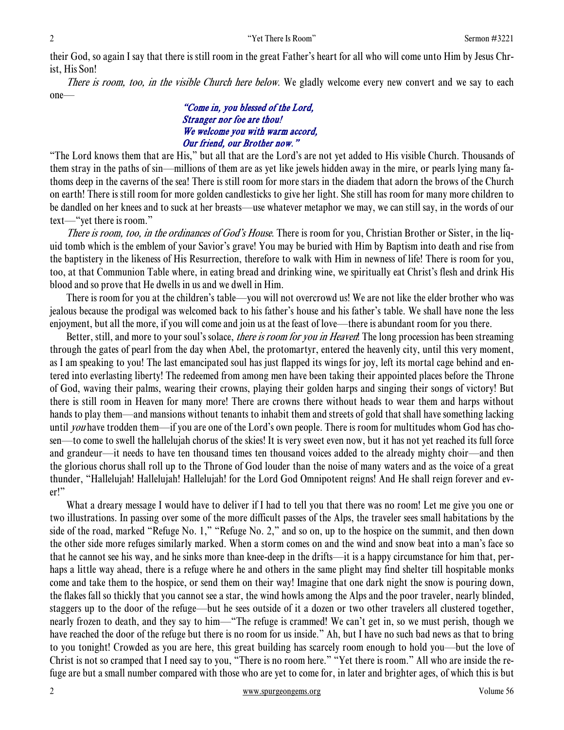their God, so again I say that there is still room in the great Father's heart for all who will come unto Him by Jesus Christ, His Son!

There is room, too, in the visible Church here below. We gladly welcome every new convert and we say to each one—

### "Come in, you blessed of the Lord, Stranger nor foe are thou! We welcome you with warm accord, Our friend, our Brother now."

"The Lord knows them that are His," but all that are the Lord's are not yet added to His visible Church. Thousands of them stray in the paths of sin—millions of them are as yet like jewels hidden away in the mire, or pearls lying many fathoms deep in the caverns of the sea! There is still room for more stars in the diadem that adorn the brows of the Church on earth! There is still room for more golden candlesticks to give her light. She still has room for many more children to be dandled on her knees and to suck at her breasts—use whatever metaphor we may, we can still say, in the words of our text—"yet there is room."

There is room, too, in the ordinances of God's House. There is room for you, Christian Brother or Sister, in the liquid tomb which is the emblem of your Savior's grave! You may be buried with Him by Baptism into death and rise from the baptistery in the likeness of His Resurrection, therefore to walk with Him in newness of life! There is room for you, too, at that Communion Table where, in eating bread and drinking wine, we spiritually eat Christ's flesh and drink His blood and so prove that He dwells in us and we dwell in Him.

 There is room for you at the children's table—you will not overcrowd us! We are not like the elder brother who was jealous because the prodigal was welcomed back to his father's house and his father's table. We shall have none the less enjoyment, but all the more, if you will come and join us at the feast of love—there is abundant room for you there.

Better, still, and more to your soul's solace, *there is room for you in Heaven*! The long procession has been streaming through the gates of pearl from the day when Abel, the protomartyr, entered the heavenly city, until this very moment, as I am speaking to you! The last emancipated soul has just flapped its wings for joy, left its mortal cage behind and entered into everlasting liberty! The redeemed from among men have been taking their appointed places before the Throne of God, waving their palms, wearing their crowns, playing their golden harps and singing their songs of victory! But there is still room in Heaven for many more! There are crowns there without heads to wear them and harps without hands to play them—and mansions without tenants to inhabit them and streets of gold that shall have something lacking until *you* have trodden them—if you are one of the Lord's own people. There is room for multitudes whom God has chosen—to come to swell the hallelujah chorus of the skies! It is very sweet even now, but it has not yet reached its full force and grandeur—it needs to have ten thousand times ten thousand voices added to the already mighty choir—and then the glorious chorus shall roll up to the Throne of God louder than the noise of many waters and as the voice of a great thunder, "Hallelujah! Hallelujah! Hallelujah! for the Lord God Omnipotent reigns! And He shall reign forever and ever!"

 What a dreary message I would have to deliver if I had to tell you that there was no room! Let me give you one or two illustrations. In passing over some of the more difficult passes of the Alps, the traveler sees small habitations by the side of the road, marked "Refuge No. 1," "Refuge No. 2," and so on, up to the hospice on the summit, and then down the other side more refuges similarly marked. When a storm comes on and the wind and snow beat into a man's face so that he cannot see his way, and he sinks more than knee-deep in the drifts—it is a happy circumstance for him that, perhaps a little way ahead, there is a refuge where he and others in the same plight may find shelter till hospitable monks come and take them to the hospice, or send them on their way! Imagine that one dark night the snow is pouring down, the flakes fall so thickly that you cannot see a star, the wind howls among the Alps and the poor traveler, nearly blinded, staggers up to the door of the refuge—but he sees outside of it a dozen or two other travelers all clustered together, nearly frozen to death, and they say to him—"The refuge is crammed! We can't get in, so we must perish, though we have reached the door of the refuge but there is no room for us inside." Ah, but I have no such bad news as that to bring to you tonight! Crowded as you are here, this great building has scarcely room enough to hold you—but the love of Christ is not so cramped that I need say to you, "There is no room here." "Yet there is room." All who are inside the refuge are but a small number compared with those who are yet to come for, in later and brighter ages, of which this is but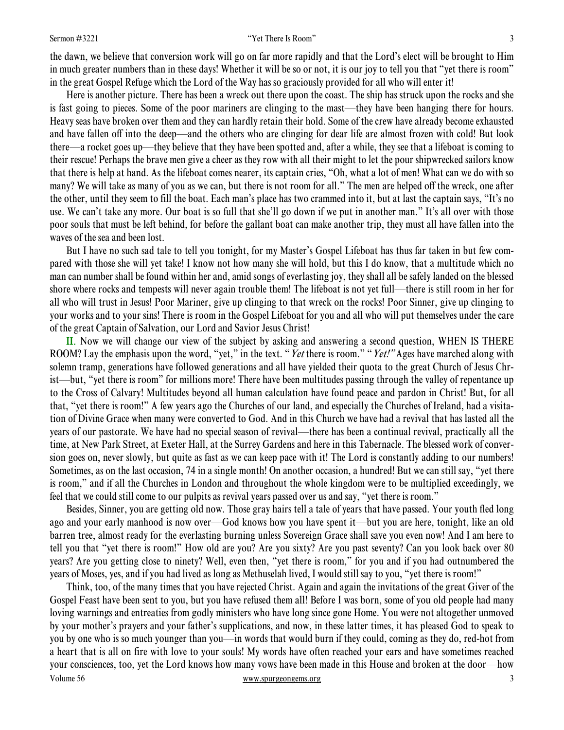#### Sermon #3221 3

the dawn, we believe that conversion work will go on far more rapidly and that the Lord's elect will be brought to Him in much greater numbers than in these days! Whether it will be so or not, it is our joy to tell you that "yet there is room" in the great Gospel Refuge which the Lord of the Way has so graciously provided for all who will enter it!

 Here is another picture. There has been a wreck out there upon the coast. The ship has struck upon the rocks and she is fast going to pieces. Some of the poor mariners are clinging to the mast—they have been hanging there for hours. Heavy seas have broken over them and they can hardly retain their hold. Some of the crew have already become exhausted and have fallen off into the deep—and the others who are clinging for dear life are almost frozen with cold! But look there—a rocket goes up—they believe that they have been spotted and, after a while, they see that a lifeboat is coming to their rescue! Perhaps the brave men give a cheer as they row with all their might to let the pour shipwrecked sailors know that there is help at hand. As the lifeboat comes nearer, its captain cries, "Oh, what a lot of men! What can we do with so many? We will take as many of you as we can, but there is not room for all." The men are helped off the wreck, one after the other, until they seem to fill the boat. Each man's place has two crammed into it, but at last the captain says, "It's no use. We can't take any more. Our boat is so full that she'll go down if we put in another man." It's all over with those poor souls that must be left behind, for before the gallant boat can make another trip, they must all have fallen into the waves of the sea and been lost.

 But I have no such sad tale to tell you tonight, for my Master's Gospel Lifeboat has thus far taken in but few compared with those she will yet take! I know not how many she will hold, but this I do know, that a multitude which no man can number shall be found within her and, amid songs of everlasting joy, they shall all be safely landed on the blessed shore where rocks and tempests will never again trouble them! The lifeboat is not yet full—there is still room in her for all who will trust in Jesus! Poor Mariner, give up clinging to that wreck on the rocks! Poor Sinner, give up clinging to your works and to your sins! There is room in the Gospel Lifeboat for you and all who will put themselves under the care of the great Captain of Salvation, our Lord and Savior Jesus Christ!

II. Now we will change our view of the subject by asking and answering a second question, WHEN IS THERE ROOM? Lay the emphasis upon the word, "yet," in the text. "Yet there is room." "Yet!" Ages have marched along with solemn tramp, generations have followed generations and all have yielded their quota to the great Church of Jesus Christ—but, "yet there is room" for millions more! There have been multitudes passing through the valley of repentance up to the Cross of Calvary! Multitudes beyond all human calculation have found peace and pardon in Christ! But, for all that, "yet there is room!" A few years ago the Churches of our land, and especially the Churches of Ireland, had a visitation of Divine Grace when many were converted to God. And in this Church we have had a revival that has lasted all the years of our pastorate. We have had no special season of revival—there has been a continual revival, practically all the time, at New Park Street, at Exeter Hall, at the Surrey Gardens and here in this Tabernacle. The blessed work of conversion goes on, never slowly, but quite as fast as we can keep pace with it! The Lord is constantly adding to our numbers! Sometimes, as on the last occasion, 74 in a single month! On another occasion, a hundred! But we can still say, "yet there is room," and if all the Churches in London and throughout the whole kingdom were to be multiplied exceedingly, we feel that we could still come to our pulpits as revival years passed over us and say, "yet there is room."

 Besides, Sinner, you are getting old now. Those gray hairs tell a tale of years that have passed. Your youth fled long ago and your early manhood is now over—God knows how you have spent it—but you are here, tonight, like an old barren tree, almost ready for the everlasting burning unless Sovereign Grace shall save you even now! And I am here to tell you that "yet there is room!" How old are you? Are you sixty? Are you past seventy? Can you look back over 80 years? Are you getting close to ninety? Well, even then, "yet there is room," for you and if you had outnumbered the years of Moses, yes, and if you had lived as long as Methuselah lived, I would still say to you, "yet there is room!"

Volume 56 www.spurgeongems.org 3 Think, too, of the many times that you have rejected Christ. Again and again the invitations of the great Giver of the Gospel Feast have been sent to you, but you have refused them all! Before I was born, some of you old people had many loving warnings and entreaties from godly ministers who have long since gone Home. You were not altogether unmoved by your mother's prayers and your father's supplications, and now, in these latter times, it has pleased God to speak to you by one who is so much younger than you—in words that would burn if they could, coming as they do, red-hot from a heart that is all on fire with love to your souls! My words have often reached your ears and have sometimes reached your consciences, too, yet the Lord knows how many vows have been made in this House and broken at the door—how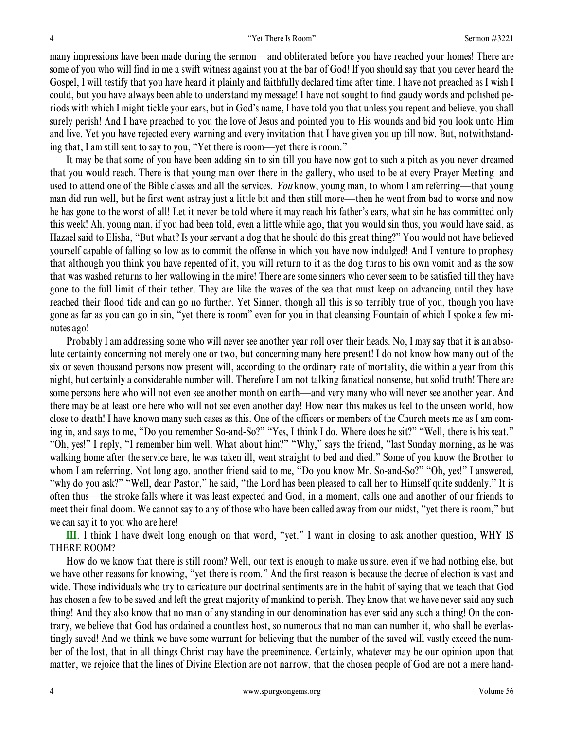many impressions have been made during the sermon—and obliterated before you have reached your homes! There are some of you who will find in me a swift witness against you at the bar of God! If you should say that you never heard the Gospel, I will testify that you have heard it plainly and faithfully declared time after time. I have not preached as I wish I could, but you have always been able to understand my message! I have not sought to find gaudy words and polished periods with which I might tickle your ears, but in God's name, I have told you that unless you repent and believe, you shall surely perish! And I have preached to you the love of Jesus and pointed you to His wounds and bid you look unto Him and live. Yet you have rejected every warning and every invitation that I have given you up till now. But, notwithstanding that, I am still sent to say to you, "Yet there is room—yet there is room."

 It may be that some of you have been adding sin to sin till you have now got to such a pitch as you never dreamed that you would reach. There is that young man over there in the gallery, who used to be at every Prayer Meeting and used to attend one of the Bible classes and all the services. You know, young man, to whom I am referring—that young man did run well, but he first went astray just a little bit and then still more—then he went from bad to worse and now he has gone to the worst of all! Let it never be told where it may reach his father's ears, what sin he has committed only this week! Ah, young man, if you had been told, even a little while ago, that you would sin thus, you would have said, as Hazael said to Elisha, "But what? Is your servant a dog that he should do this great thing?" You would not have believed yourself capable of falling so low as to commit the offense in which you have now indulged! And I venture to prophesy that although you think you have repented of it, you will return to it as the dog turns to his own vomit and as the sow that was washed returns to her wallowing in the mire! There are some sinners who never seem to be satisfied till they have gone to the full limit of their tether. They are like the waves of the sea that must keep on advancing until they have reached their flood tide and can go no further. Yet Sinner, though all this is so terribly true of you, though you have gone as far as you can go in sin, "yet there is room" even for you in that cleansing Fountain of which I spoke a few minutes ago!

 Probably I am addressing some who will never see another year roll over their heads. No, I may say that it is an absolute certainty concerning not merely one or two, but concerning many here present! I do not know how many out of the six or seven thousand persons now present will, according to the ordinary rate of mortality, die within a year from this night, but certainly a considerable number will. Therefore I am not talking fanatical nonsense, but solid truth! There are some persons here who will not even see another month on earth—and very many who will never see another year. And there may be at least one here who will not see even another day! How near this makes us feel to the unseen world, how close to death! I have known many such cases as this. One of the officers or members of the Church meets me as I am coming in, and says to me, "Do you remember So-and-So?" "Yes, I think I do. Where does he sit?" "Well, there is his seat." "Oh, yes!" I reply, "I remember him well. What about him?" "Why," says the friend, "last Sunday morning, as he was walking home after the service here, he was taken ill, went straight to bed and died." Some of you know the Brother to whom I am referring. Not long ago, another friend said to me, "Do you know Mr. So-and-So?" "Oh, yes!" I answered, "why do you ask?" "Well, dear Pastor," he said, "the Lord has been pleased to call her to Himself quite suddenly." It is often thus—the stroke falls where it was least expected and God, in a moment, calls one and another of our friends to meet their final doom. We cannot say to any of those who have been called away from our midst, "yet there is room," but we can say it to you who are here!

III. I think I have dwelt long enough on that word, "yet." I want in closing to ask another question, WHY IS THERE ROOM?

 How do we know that there is still room? Well, our text is enough to make us sure, even if we had nothing else, but we have other reasons for knowing, "yet there is room." And the first reason is because the decree of election is vast and wide. Those individuals who try to caricature our doctrinal sentiments are in the habit of saying that we teach that God has chosen a few to be saved and left the great majority of mankind to perish. They know that we have never said any such thing! And they also know that no man of any standing in our denomination has ever said any such a thing! On the contrary, we believe that God has ordained a countless host, so numerous that no man can number it, who shall be everlastingly saved! And we think we have some warrant for believing that the number of the saved will vastly exceed the number of the lost, that in all things Christ may have the preeminence. Certainly, whatever may be our opinion upon that matter, we rejoice that the lines of Divine Election are not narrow, that the chosen people of God are not a mere hand-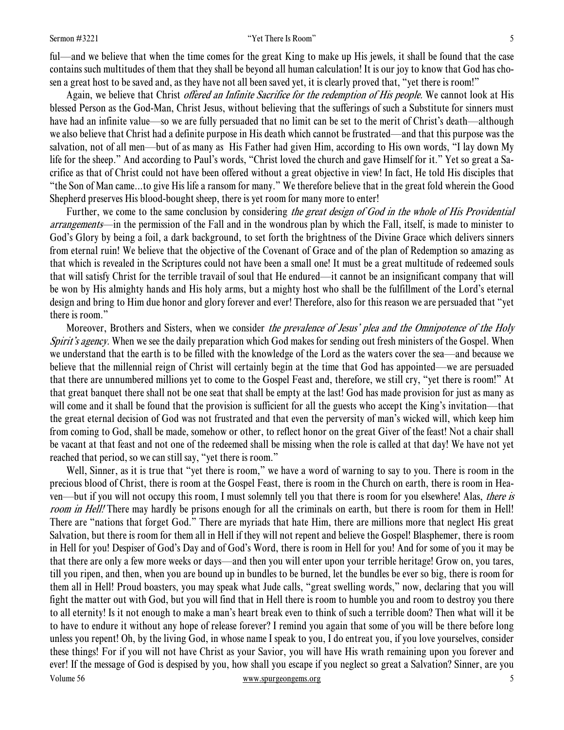#### Sermon #3221 5

ful—and we believe that when the time comes for the great King to make up His jewels, it shall be found that the case contains such multitudes of them that they shall be beyond all human calculation! It is our joy to know that God has chosen a great host to be saved and, as they have not all been saved yet, it is clearly proved that, "yet there is room!"

Again, we believe that Christ *offered an Infinite Sacrifice for the redemption of His people*. We cannot look at His blessed Person as the God-Man, Christ Jesus, without believing that the sufferings of such a Substitute for sinners must have had an infinite value—so we are fully persuaded that no limit can be set to the merit of Christ's death—although we also believe that Christ had a definite purpose in His death which cannot be frustrated—and that this purpose was the salvation, not of all men—but of as many as His Father had given Him, according to His own words, "I lay down My life for the sheep." And according to Paul's words, "Christ loved the church and gave Himself for it." Yet so great a Sacrifice as that of Christ could not have been offered without a great objective in view! In fact, He told His disciples that "the Son of Man came...to give His life a ransom for many." We therefore believe that in the great fold wherein the Good Shepherd preserves His blood-bought sheep, there is yet room for many more to enter!

Further, we come to the same conclusion by considering the great design of God in the whole of His Providential arrangements—in the permission of the Fall and in the wondrous plan by which the Fall, itself, is made to minister to God's Glory by being a foil, a dark background, to set forth the brightness of the Divine Grace which delivers sinners from eternal ruin! We believe that the objective of the Covenant of Grace and of the plan of Redemption so amazing as that which is revealed in the Scriptures could not have been a small one! It must be a great multitude of redeemed souls that will satisfy Christ for the terrible travail of soul that He endured—it cannot be an insignificant company that will be won by His almighty hands and His holy arms, but a mighty host who shall be the fulfillment of the Lord's eternal design and bring to Him due honor and glory forever and ever! Therefore, also for this reason we are persuaded that "yet there is room."

Moreover, Brothers and Sisters, when we consider *the prevalence of Jesus' plea and the Omnipotence of the Holy* Spirit's agency. When we see the daily preparation which God makes for sending out fresh ministers of the Gospel. When we understand that the earth is to be filled with the knowledge of the Lord as the waters cover the sea—and because we believe that the millennial reign of Christ will certainly begin at the time that God has appointed—we are persuaded that there are unnumbered millions yet to come to the Gospel Feast and, therefore, we still cry, "yet there is room!" At that great banquet there shall not be one seat that shall be empty at the last! God has made provision for just as many as will come and it shall be found that the provision is sufficient for all the guests who accept the King's invitation—that the great eternal decision of God was not frustrated and that even the perversity of man's wicked will, which keep him from coming to God, shall be made, somehow or other, to reflect honor on the great Giver of the feast! Not a chair shall be vacant at that feast and not one of the redeemed shall be missing when the role is called at that day! We have not yet reached that period, so we can still say, "yet there is room."

Volume 56 www.spurgeongems.org 5 Well, Sinner, as it is true that "yet there is room," we have a word of warning to say to you. There is room in the precious blood of Christ, there is room at the Gospel Feast, there is room in the Church on earth, there is room in Heaven—but if you will not occupy this room, I must solemnly tell you that there is room for you elsewhere! Alas, there is room in Hell! There may hardly be prisons enough for all the criminals on earth, but there is room for them in Hell! There are "nations that forget God." There are myriads that hate Him, there are millions more that neglect His great Salvation, but there is room for them all in Hell if they will not repent and believe the Gospel! Blasphemer, there is room in Hell for you! Despiser of God's Day and of God's Word, there is room in Hell for you! And for some of you it may be that there are only a few more weeks or days—and then you will enter upon your terrible heritage! Grow on, you tares, till you ripen, and then, when you are bound up in bundles to be burned, let the bundles be ever so big, there is room for them all in Hell! Proud boasters, you may speak what Jude calls, "great swelling words," now, declaring that you will fight the matter out with God, but you will find that in Hell there is room to humble you and room to destroy you there to all eternity! Is it not enough to make a man's heart break even to think of such a terrible doom? Then what will it be to have to endure it without any hope of release forever? I remind you again that some of you will be there before long unless you repent! Oh, by the living God, in whose name I speak to you, I do entreat you, if you love yourselves, consider these things! For if you will not have Christ as your Savior, you will have His wrath remaining upon you forever and ever! If the message of God is despised by you, how shall you escape if you neglect so great a Salvation? Sinner, are you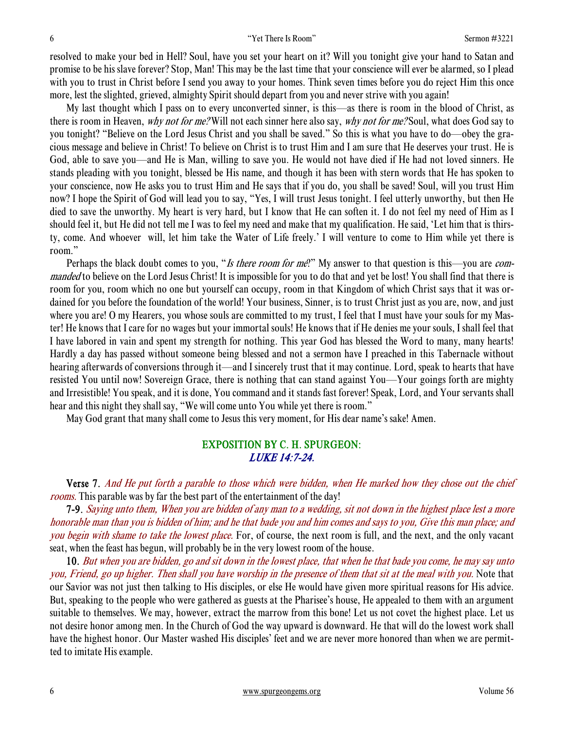resolved to make your bed in Hell? Soul, have you set your heart on it? Will you tonight give your hand to Satan and promise to be his slave forever? Stop, Man! This may be the last time that your conscience will ever be alarmed, so I plead with you to trust in Christ before I send you away to your homes. Think seven times before you do reject Him this once more, lest the slighted, grieved, almighty Spirit should depart from you and never strive with you again!

 My last thought which I pass on to every unconverted sinner, is this—as there is room in the blood of Christ, as there is room in Heaven, why not for me? Will not each sinner here also say, why not for me? Soul, what does God say to you tonight? "Believe on the Lord Jesus Christ and you shall be saved." So this is what you have to do—obey the gracious message and believe in Christ! To believe on Christ is to trust Him and I am sure that He deserves your trust. He is God, able to save you—and He is Man, willing to save you. He would not have died if He had not loved sinners. He stands pleading with you tonight, blessed be His name, and though it has been with stern words that He has spoken to your conscience, now He asks you to trust Him and He says that if you do, you shall be saved! Soul, will you trust Him now? I hope the Spirit of God will lead you to say, "Yes, I will trust Jesus tonight. I feel utterly unworthy, but then He died to save the unworthy. My heart is very hard, but I know that He can soften it. I do not feel my need of Him as I should feel it, but He did not tell me I was to feel my need and make that my qualification. He said, 'Let him that is thirsty, come. And whoever will, let him take the Water of Life freely.' I will venture to come to Him while yet there is room."

Perhaps the black doubt comes to you, "Is there room for me?" My answer to that question is this—you are commanded to believe on the Lord Jesus Christ! It is impossible for you to do that and yet be lost! You shall find that there is room for you, room which no one but yourself can occupy, room in that Kingdom of which Christ says that it was ordained for you before the foundation of the world! Your business, Sinner, is to trust Christ just as you are, now, and just where you are! O my Hearers, you whose souls are committed to my trust, I feel that I must have your souls for my Master! He knows that I care for no wages but your immortal souls! He knows that if He denies me your souls, I shall feel that I have labored in vain and spent my strength for nothing. This year God has blessed the Word to many, many hearts! Hardly a day has passed without someone being blessed and not a sermon have I preached in this Tabernacle without hearing afterwards of conversions through it—and I sincerely trust that it may continue. Lord, speak to hearts that have resisted You until now! Sovereign Grace, there is nothing that can stand against You—Your goings forth are mighty and Irresistible! You speak, and it is done, You command and it stands fast forever! Speak, Lord, and Your servants shall hear and this night they shall say, "We will come unto You while yet there is room."

May God grant that many shall come to Jesus this very moment, for His dear name's sake! Amen.

## EXPOSITION BY C. H. SPURGEON: LUKE 14:7-24.

 Verse 7. And He put forth a parable to those which were bidden, when He marked how they chose out the chief rooms. This parable was by far the best part of the entertainment of the day!

7-9. Saying unto them, When you are bidden of any man to a wedding, sit not down in the highest place lest a more honorable man than you is bidden of him; and he that bade you and him comes and says to you, Give this man place; and you begin with shame to take the lowest place. For, of course, the next room is full, and the next, and the only vacant seat, when the feast has begun, will probably be in the very lowest room of the house.

10. But when you are bidden, go and sit down in the lowest place, that when he that bade you come, he may say unto you, Friend, go up higher. Then shall you have worship in the presence of them that sit at the meal with you. Note that our Savior was not just then talking to His disciples, or else He would have given more spiritual reasons for His advice. But, speaking to the people who were gathered as guests at the Pharisee's house, He appealed to them with an argument suitable to themselves. We may, however, extract the marrow from this bone! Let us not covet the highest place. Let us not desire honor among men. In the Church of God the way upward is downward. He that will do the lowest work shall have the highest honor. Our Master washed His disciples' feet and we are never more honored than when we are permitted to imitate His example.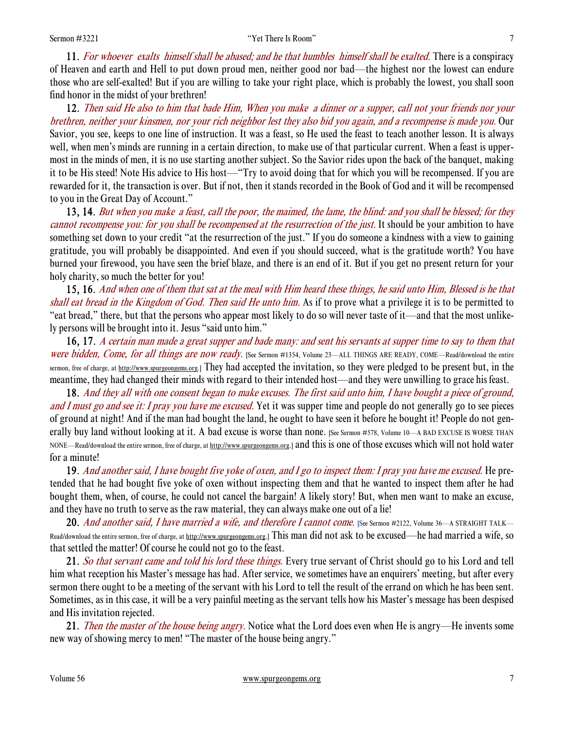11. For whoever exalts himself shall be abased; and he that humbles himself shall be exalted. There is a conspiracy of Heaven and earth and Hell to put down proud men, neither good nor bad—the highest nor the lowest can endure those who are self-exalted! But if you are willing to take your right place, which is probably the lowest, you shall soon find honor in the midst of your brethren!

12. Then said He also to him that bade Him, When you make a dinner or a supper, call not your friends nor your brethren, neither your kinsmen, nor your rich neighbor lest they also bid you again, and a recompense is made you. Our Savior, you see, keeps to one line of instruction. It was a feast, so He used the feast to teach another lesson. It is always well, when men's minds are running in a certain direction, to make use of that particular current. When a feast is uppermost in the minds of men, it is no use starting another subject. So the Savior rides upon the back of the banquet, making it to be His steed! Note His advice to His host—"Try to avoid doing that for which you will be recompensed. If you are rewarded for it, the transaction is over. But if not, then it stands recorded in the Book of God and it will be recompensed to you in the Great Day of Account."

13, 14. But when you make a feast, call the poor, the maimed, the lame, the blind: and you shall be blessed; for they cannot recompense you: for you shall be recompensed at the resurrection of the just. It should be your ambition to have something set down to your credit "at the resurrection of the just." If you do someone a kindness with a view to gaining gratitude, you will probably be disappointed. And even if you should succeed, what is the gratitude worth? You have burned your firewood, you have seen the brief blaze, and there is an end of it. But if you get no present return for your holy charity, so much the better for you!

 15, 16. And when one of them that sat at the meal with Him heard these things, he said unto Him, Blessed is he that shall eat bread in the Kingdom of God. Then said He unto him. As if to prove what a privilege it is to be permitted to "eat bread," there, but that the persons who appear most likely to do so will never taste of it—and that the most unlikely persons will be brought into it. Jesus "said unto him."

16, 17. A certain man made a great supper and bade many: and sent his servants at supper time to say to them that were bidden, Come, for all things are now ready. [See Sermon #1354, Volume 23—ALL THINGS ARE READY, COME—Read/download the entire sermon, free of charge, at http://www.spurgeongems.org.] They had accepted the invitation, so they were pledged to be present but, in the meantime, they had changed their minds with regard to their intended host—and they were unwilling to grace his feast.

18. And they all with one consent began to make excuses. The first said unto him, I have bought a piece of ground, and I must go and see it: I pray you have me excused. Yet it was supper time and people do not generally go to see pieces of ground at night! And if the man had bought the land, he ought to have seen it before he bought it! People do not generally buy land without looking at it. A bad excuse is worse than none. [See Sermon #578, Volume 10—A BAD EXCUSE IS WORSE THAN NONE—Read/download the entire sermon, free of charge, at http://www.spurgeongems.org.] and this is one of those excuses which will not hold water for a minute!

19. And another said, I have bought five yoke of oxen, and I go to inspect them: I pray you have me excused. He pretended that he had bought five yoke of oxen without inspecting them and that he wanted to inspect them after he had bought them, when, of course, he could not cancel the bargain! A likely story! But, when men want to make an excuse, and they have no truth to serve as the raw material, they can always make one out of a lie!

20. And another said, I have married a wife, and therefore I cannot come. [See Sermon #2122, Volume 36—A STRAIGHT TALK— Read/download the entire sermon, free of charge, at http://www.spurgeongems.org.] This man did not ask to be excused—he had married a wife, so that settled the matter! Of course he could not go to the feast.

21. So that servant came and told his lord these things. Every true servant of Christ should go to his Lord and tell him what reception his Master's message has had. After service, we sometimes have an enquirers' meeting, but after every sermon there ought to be a meeting of the servant with his Lord to tell the result of the errand on which he has been sent. Sometimes, as in this case, it will be a very painful meeting as the servant tells how his Master's message has been despised and His invitation rejected.

21. Then the master of the house being angry. Notice what the Lord does even when He is angry—He invents some new way of showing mercy to men! "The master of the house being angry."

Volume 56 www.spurgeongems.org 7